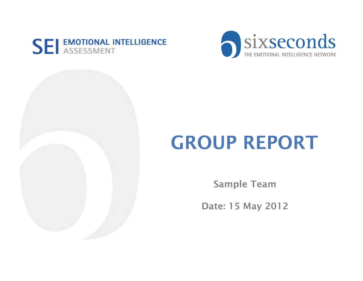



# GROUP REPORT

Sample Team

Date: 15 May 2012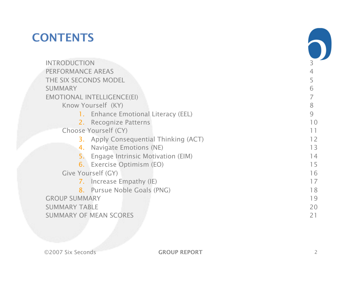### **CONTENTS**

|                      | <b>INTRODUCTION</b>                          | 3                                |
|----------------------|----------------------------------------------|----------------------------------|
|                      | PERFORMANCE AREAS                            |                                  |
|                      | THE SIX SECONDS MODEL                        |                                  |
|                      | <b>SUMMARY</b>                               | 6                                |
|                      | <b>EMOTIONAL INTELLIGENCE(EI)</b>            |                                  |
|                      | Know Yourself (KY)                           | 8                                |
|                      | 1. Enhance Emotional Literacy (EEL)          | 9                                |
|                      | 2. Recognize Patterns                        | 10                               |
|                      | Choose Yourself (CY)                         | 11                               |
|                      | <b>3.</b> Apply Consequential Thinking (ACT) | 12                               |
|                      | Navigate Emotions (NE)<br>4.                 | 13                               |
|                      | Engage Intrinsic Motivation (EIM)<br>5.      | 14                               |
|                      | 6. Exercise Optimism (EO)                    | 15                               |
|                      | Give Yourself (GY)                           | 16<br>17<br>18<br>19<br>20<br>21 |
|                      | 7. Increase Empathy (IE)                     |                                  |
|                      | 8. Pursue Noble Goals (PNG)                  |                                  |
|                      | <b>GROUP SUMMARY</b>                         |                                  |
| <b>SUMMARY TABLE</b> |                                              |                                  |
|                      | <b>SUMMARY OF MEAN SCORES</b>                |                                  |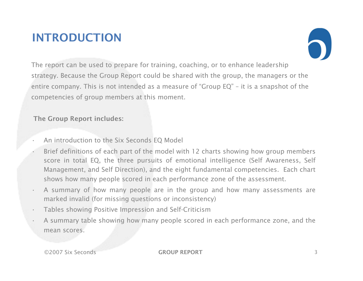#### INTRODUCTION



The report can be used to prepare for training, coaching, or to enhance leadership strategy. Because the Group Report could be shared with the group, the managers or the entire company. This is not intended as a measure of "Group EQ" – it is a snapshot of the competencies of group members at this moment.

The Group Report includes:

- An introduction to the Six Seconds EQ Model
- Brief definitions of each part of the model with 12 charts showing how group members score in total EQ, the three pursuits of emotional intelligence (Self Awareness, Self Management, and Self Direction), and the eight fundamental competencies. Each chart shows how many people scored in each performance zone of the assessment.
- A summary of how many people are in the group and how many assessments are marked invalid (for missing questions or inconsistency)
- Tables showing Positive Impression and Self-Criticism
- A summary table showing how many people scored in each performance zone, and the mean scores.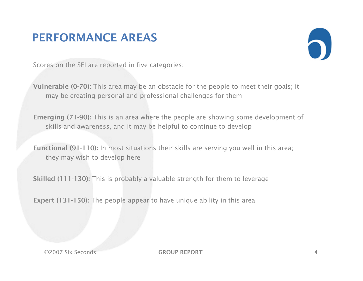#### PERFORMANCE AREAS



Scores on the SEI are reported in five categories:

Vulnerable (0-70): This area may be an obstacle for the people to meet their goals; it may be creating personal and professional challenges for them

Emerging (71-90): This is an area where the people are showing some development of skills and awareness, and it may be helpful to continue to develop

Functional (91-110): In most situations their skills are serving you well in this area; they may wish to develop here

Skilled (111-130): This is probably a valuable strength for them to leverage

Expert (131-150): The people appear to have unique ability in this area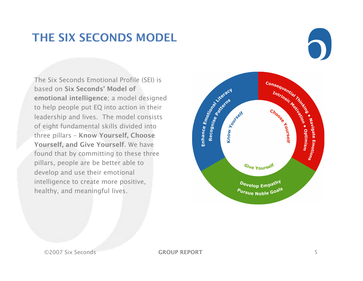#### THE SIX SECONDS MODEL

The Six Seconds Emotional Profile (SEI) is based on Six Seconds' Model of emotional intelligence; a model designed to help people put EQ into action in their leadership and lives. The model consists of eight fundamental skills divided into three pillars – Know Yourself, Choose Yourself, and Give Yourself. We have found that by committing to these three pillars, people are be better able to develop and use their emotional intelligence to create more positive, healthy, and meaningful lives.

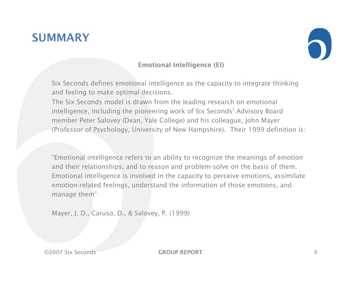#### **SUMMARY**



#### Emotional Intelligence (EI)

Six Seconds defines emotional intelligence as the capacity to integrate thinking and feeling to make optimal decisions.

The Six Seconds model is drawn from the leading research on emotional intelligence, including the pioneering work of Six Seconds' Advisory Board member Peter Salovey (Dean, Yale College) and his colleague, John Mayer (Professor of Psychology, University of New Hampshire). Their 1999 definition is:

"Emotional intelligence refers to an ability to recognize the meanings of emotion and their relationships, and to reason and problem-solve on the basis of them. Emotional intelligence is involved in the capacity to perceive emotions, assimilate emotion-related feelings, understand the information of those emotions, and manage them"

Mayer, J. D., Caruso, D., & Salovey, P. (1999)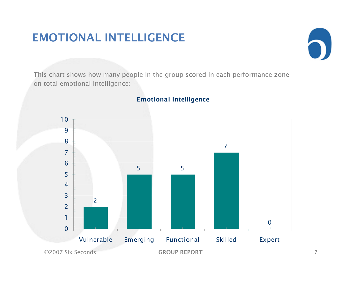#### EMOTIONAL INTELLIGENCE



This chart shows how many people in the group scored in each performance zone on total emotional intelligence:

#### Emotional Intelligence

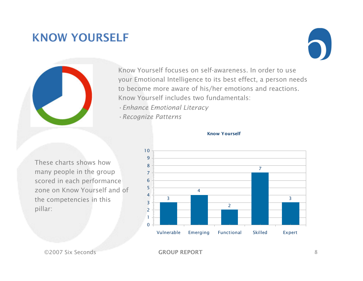#### KNOW YOURSELF





Know Yourself focuses on self-awareness. In order to use your Emotional Intelligence to its best effect, a person needs to become more aware of his/her emotions and reactions. Know Yourself includes two fundamentals:

- •*Enhance Emotional Literacy*
- •*Recognize Patterns*





#### Know Yourself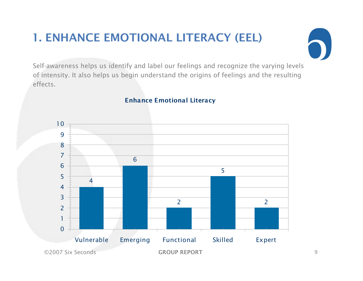## 1. ENHANCE EMOTIONAL LITERACY (EEL)



Self-awareness helps us identify and label our feelings and recognize the varying levels of intensity. It also helps us begin understand the origins of feelings and the resulting effects.

#### Enhance Emotional Literacy

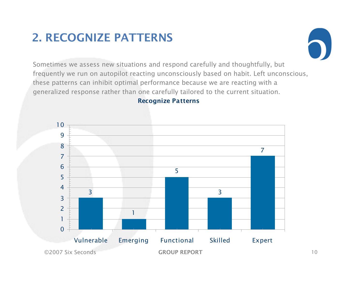### 2. RECOGNIZE PATTERNS



Sometimes we assess new situations and respond carefully and thoughtfully, but frequently we run on autopilot reacting unconsciously based on habit. Left unconscious, these patterns can inhibit optimal performance because we are reacting with a generalized response rather than one carefully tailored to the current situation.

#### Recognize Patterns

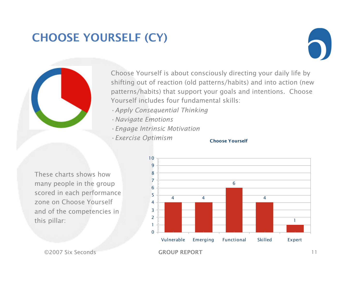### CHOOSE YOURSELF (CY)





Choose Yourself is about consciously directing your daily life by shifting out of reaction (old patterns/habits) and into action (new patterns/habits) that support your goals and intentions. Choose Yourself includes four fundamental skills:

- •*Apply Consequential Thinking*
- •*Navigate Emotions*
- •*Engage Intrinsic Motivation*
- •*Exercise Optimism*

#### Choose Yourself

These charts shows how many people in the group scored in each performance zone on Choose Yourself and of the competencies in this pillar:

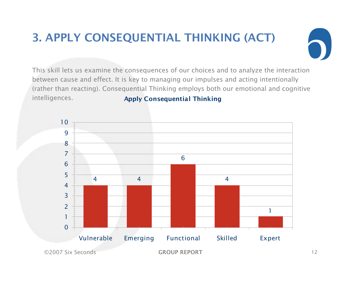# 3. APPLY CONSEQUENTIAL THINKING (ACT)



This skill lets us examine the consequences of our choices and to analyze the interaction between cause and effect. It is key to managing our impulses and acting intentionally (rather than reacting). Consequential Thinking employs both our emotional and cognitive intelligences. Apply Consequential Thinking

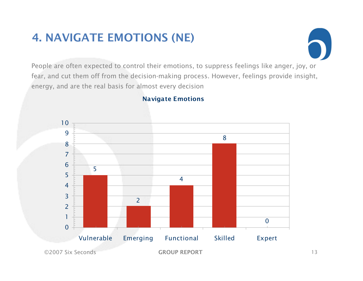### 4. NAVIGATE EMOTIONS (NE)



People are often expected to control their emotions, to suppress feelings like anger, joy, or fear, and cut them off from the decision-making process. However, feelings provide insight, energy, and are the real basis for almost every decision



#### Navigate Emotions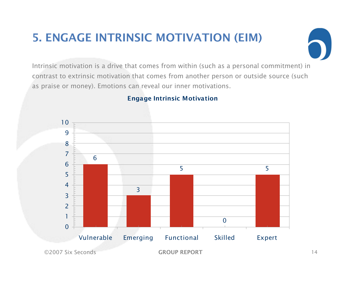## 5. ENGAGE INTRINSIC MOTIVATION (EIM)



Intrinsic motivation is a drive that comes from within (such as a personal commitment) in contrast to extrinsic motivation that comes from another person or outside source (such as praise or money). Emotions can reveal our inner motivations.



#### Engage Intrinsic Motivation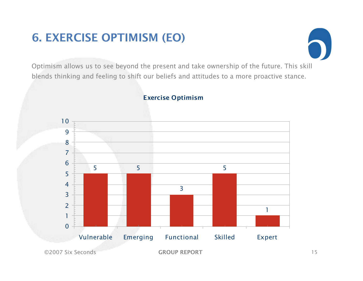### 6. EXERCISE OPTIMISM (EO)



Optimism allows us to see beyond the present and take ownership of the future. This skill blends thinking and feeling to shift our beliefs and attitudes to a more proactive stance.



#### Exercise Optimism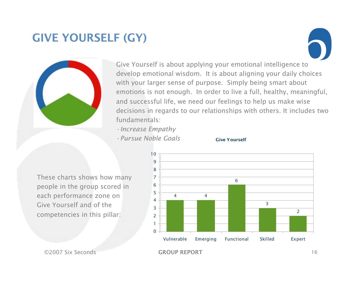### **GIVE YOURSELF (GY)**





Give Yourself is about applying your emotional intelligence to develop emotional wisdom. It is about aligning your daily choices with your larger sense of purpose. Simply being smart about emotions is not enough. In order to live a full, healthy, meaningful, and successful life, we need our feelings to help us make wise decisions in regards to our relationships with others. It includes two fundamentals:

- •*Increase Empathy*
- •*Pursue Noble Goals*



These charts shows how many people in the group scored in each performance zone on Give Yourself and of the competencies in this pillar:

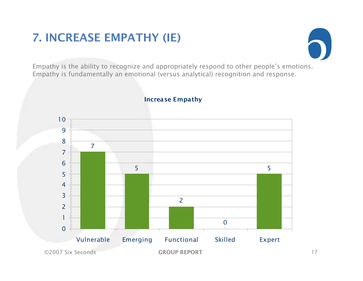### 7. INCREASE EMPATHY (IE)



Empathy is the ability to recognize and appropriately respond to other people's emotions. Empathy is fundamentally an emotional (versus analytical) recognition and response.



#### Increase Empathy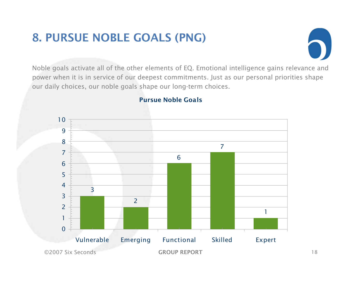### 8. PURSUE NOBLE GOALS (PNG)



Noble goals activate all of the other elements of EQ. Emotional intelligence gains relevance and power when it is in service of our deepest commitments. Just as our personal priorities shape our daily choices, our noble goals shape our long-term choices.



#### Pursue Noble Goals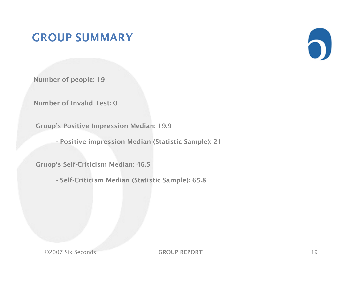#### GROUP SUMMARY



Number of people: 19

Number of Invalid Test: 0

Group's Positive Impression Median: 19.9

- Positive impression Median (Statistic Sample): 21

Gruop's Self-Criticism Median: 46.5

- Self-Criticism Median (Statistic Sample): 65.8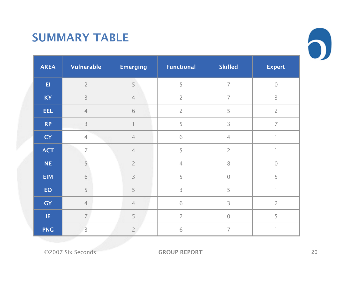#### SUMMARY TABLE

| <b>AREA</b> | <b>Vulnerable</b> | <b>Emerging</b> | <b>Functional</b> | <b>Skilled</b> | <b>Expert</b>  |
|-------------|-------------------|-----------------|-------------------|----------------|----------------|
| E1          | $\overline{2}$    | 5               | 5                 | $\overline{7}$ | $\mathbf 0$    |
| <b>KY</b>   | $\overline{3}$    | $\overline{4}$  | $\overline{2}$    | $\overline{7}$ | 3              |
| <b>EEL</b>  | $\overline{4}$    | $\sqrt{6}$      | $\overline{2}$    | 5              | $\overline{2}$ |
| <b>RP</b>   | $\overline{3}$    |                 | 5                 | $\mathsf 3$    | $\overline{ }$ |
| <b>CY</b>   | $\overline{4}$    | $\overline{4}$  | 6                 | $\overline{4}$ | 1              |
| <b>ACT</b>  | $\overline{7}$    | $\overline{4}$  | 5                 | $\overline{2}$ |                |
| <b>NE</b>   | 5                 | $\overline{2}$  | $\overline{4}$    | $8\,$          | $\mathbf 0$    |
| <b>EIM</b>  | 6                 | 3               | 5                 | $\sqrt{a}$     | 5              |
| EO          | 5                 | 5               | 3                 | 5              | 1              |
| <b>GY</b>   | $\overline{4}$    | $\overline{4}$  | 6                 | 3              | $\overline{2}$ |
| IE          | $\overline{7}$    | 5               | $\overline{2}$    | $\sqrt{a}$     | 5              |
| <b>PNG</b>  | 3                 | $\overline{2}$  | 6                 | $\overline{7}$ | $\mathbb{I}$   |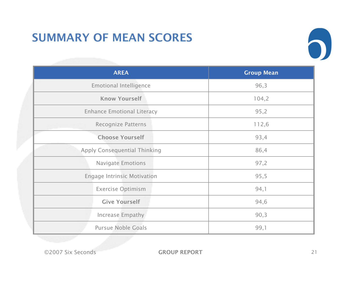### SUMMARY OF MEAN SCORES



| <b>AREA</b>                         | <b>Group Mean</b> |  |
|-------------------------------------|-------------------|--|
| <b>Emotional Intelligence</b>       | 96,3              |  |
| <b>Know Yourself</b>                | 104,2             |  |
| <b>Enhance Emotional Literacy</b>   | 95,2              |  |
| <b>Recognize Patterns</b>           | 112,6             |  |
| <b>Choose Yourself</b>              | 93,4              |  |
| <b>Apply Consequential Thinking</b> | 86,4              |  |
| <b>Navigate Emotions</b>            | 97,2              |  |
| <b>Engage Intrinsic Motivation</b>  | 95,5              |  |
| <b>Exercise Optimism</b>            | 94,1              |  |
| <b>Give Yourself</b>                | 94,6              |  |
| Increase Empathy                    | 90,3              |  |
| <b>Pursue Noble Goals</b>           | 99,1              |  |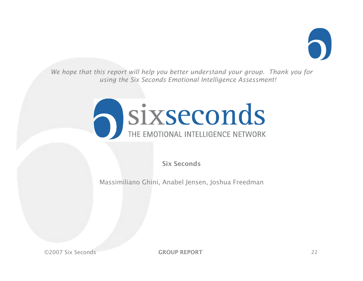

*We hope that this report will help you better understand your group. Thank you for using the Six Seconds Emotional Intelligence Assessment!* 



Six Seconds

Massimiliano Ghini, Anabel Jensen, Joshua Freedman